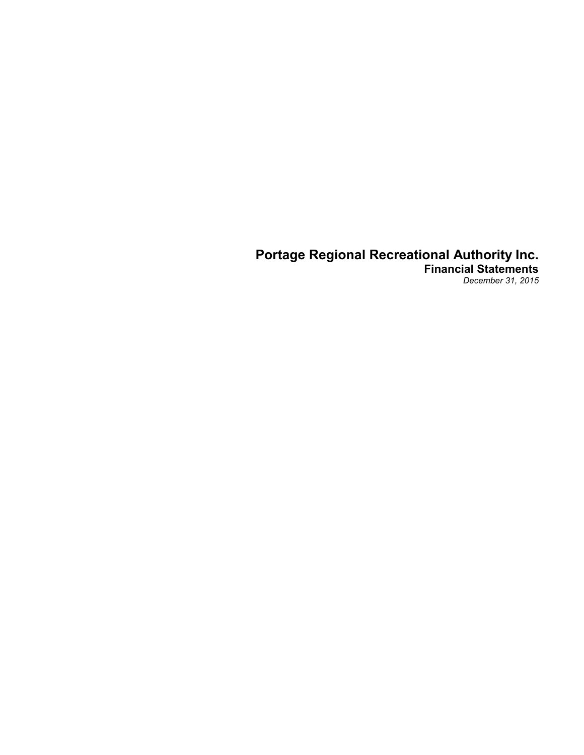## **Portage Regional Recreational Authority Inc. Financial Statements**

*December 31, 2015*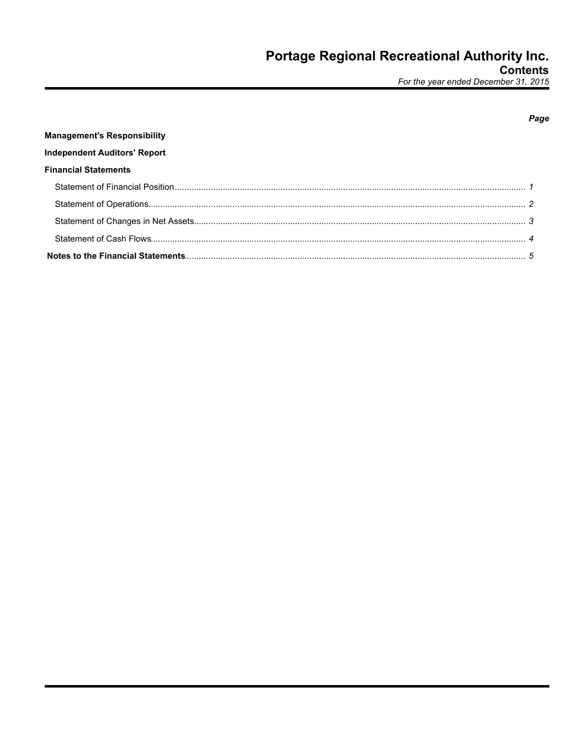| <b>Management's Responsibility</b>  |  |
|-------------------------------------|--|
| <b>Independent Auditors' Report</b> |  |
| <b>Financial Statements</b>         |  |
|                                     |  |
|                                     |  |
|                                     |  |
|                                     |  |
|                                     |  |

## Page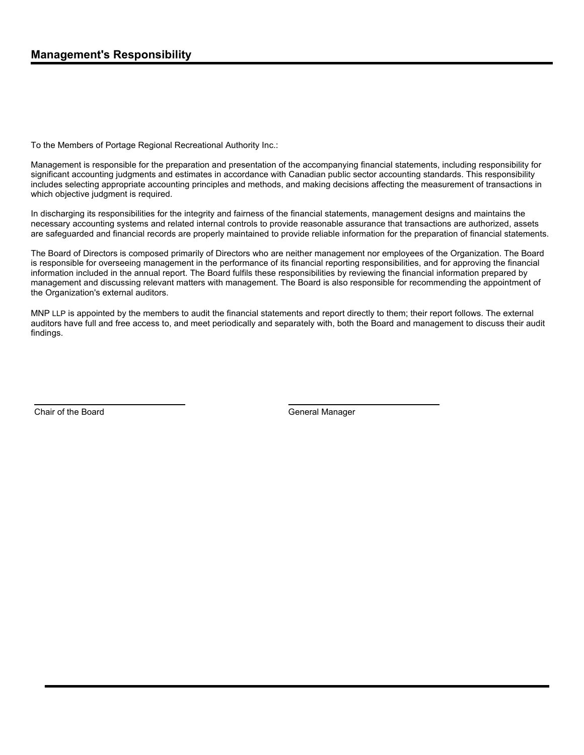To the Members of Portage Regional Recreational Authority Inc.:

Management is responsible for the preparation and presentation of the accompanying financial statements, including responsibility for significant accounting judgments and estimates in accordance with Canadian public sector accounting standards. This responsibility includes selecting appropriate accounting principles and methods, and making decisions affecting the measurement of transactions in which objective judgment is required.

In discharging its responsibilities for the integrity and fairness of the financial statements, management designs and maintains the necessary accounting systems and related internal controls to provide reasonable assurance that transactions are authorized, assets are safeguarded and financial records are properly maintained to provide reliable information for the preparation of financial statements.

The Board of Directors is composed primarily of Directors who are neither management nor employees of the Organization. The Board is responsible for overseeing management in the performance of its financial reporting responsibilities, and for approving the financial information included in the annual report. The Board fulfils these responsibilities by reviewing the financial information prepared by management and discussing relevant matters with management. The Board is also responsible for recommending the appointment of the Organization's external auditors.

MNP LLP is appointed by the members to audit the financial statements and report directly to them; their report follows. The external auditors have full and free access to, and meet periodically and separately with, both the Board and management to discuss their audit findings.

Chair of the Board General Manager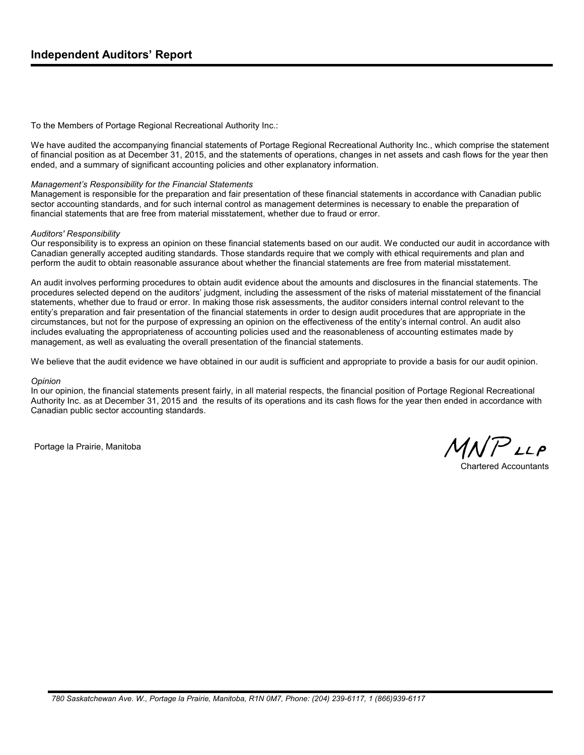To the Members of Portage Regional Recreational Authority Inc.:

We have audited the accompanying financial statements of Portage Regional Recreational Authority Inc., which comprise the statement of financial position as at December 31, 2015, and the statements of operations, changes in net assets and cash flows for the year then ended, and a summary of significant accounting policies and other explanatory information.

#### *Management's Responsibility for the Financial Statements*

Management is responsible for the preparation and fair presentation of these financial statements in accordance with Canadian public sector accounting standards, and for such internal control as management determines is necessary to enable the preparation of financial statements that are free from material misstatement, whether due to fraud or error.

#### *Auditors' Responsibility*

Our responsibility is to express an opinion on these financial statements based on our audit. We conducted our audit in accordance with Canadian generally accepted auditing standards. Those standards require that we comply with ethical requirements and plan and perform the audit to obtain reasonable assurance about whether the financial statements are free from material misstatement.

An audit involves performing procedures to obtain audit evidence about the amounts and disclosures in the financial statements. The procedures selected depend on the auditors' judgment, including the assessment of the risks of material misstatement of the financial statements, whether due to fraud or error. In making those risk assessments, the auditor considers internal control relevant to the entity's preparation and fair presentation of the financial statements in order to design audit procedures that are appropriate in the circumstances, but not for the purpose of expressing an opinion on the effectiveness of the entity's internal control. An audit also includes evaluating the appropriateness of accounting policies used and the reasonableness of accounting estimates made by management, as well as evaluating the overall presentation of the financial statements.

We believe that the audit evidence we have obtained in our audit is sufficient and appropriate to provide a basis for our audit opinion.

#### *Opinion*

In our opinion, the financial statements present fairly, in all material respects, the financial position of Portage Regional Recreational Authority Inc. as at December 31, 2015 and the results of its operations and its cash flows for the year then ended in accordance with Canadian public sector accounting standards.

Portage la Prairie, Manitoba

 $MNPLP$ 

Chartered Accountants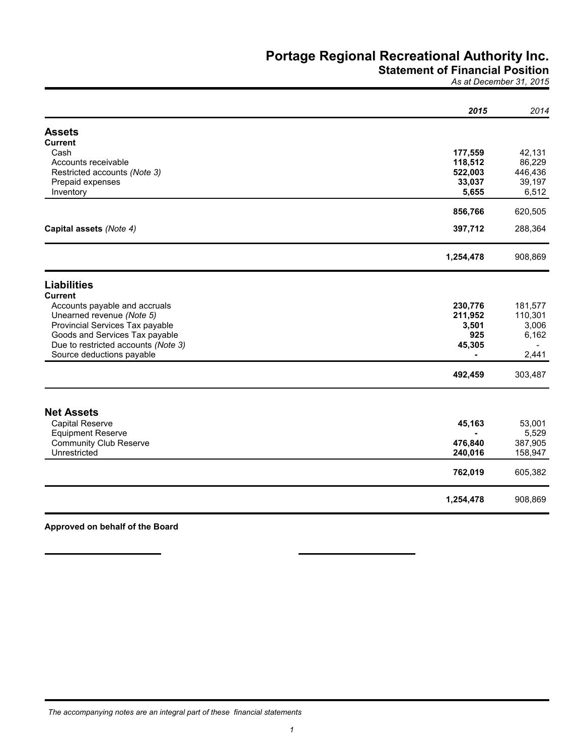**Statement of Financial Position**

*As at December 31, 2015*

|                                                    | 2015      | 2014    |
|----------------------------------------------------|-----------|---------|
| <b>Assets</b>                                      |           |         |
| <b>Current</b>                                     |           |         |
| Cash                                               | 177,559   | 42,131  |
| Accounts receivable                                | 118,512   | 86,229  |
| Restricted accounts (Note 3)                       | 522,003   | 446,436 |
| Prepaid expenses                                   | 33,037    | 39,197  |
| Inventory                                          | 5,655     | 6,512   |
|                                                    | 856,766   | 620,505 |
| Capital assets (Note 4)                            | 397,712   | 288,364 |
|                                                    | 1,254,478 | 908,869 |
| <b>Liabilities</b>                                 |           |         |
| <b>Current</b>                                     |           |         |
| Accounts payable and accruals                      | 230,776   | 181,577 |
| Unearned revenue (Note 5)                          | 211,952   | 110,301 |
| Provincial Services Tax payable                    | 3,501     | 3,006   |
| Goods and Services Tax payable                     | 925       | 6,162   |
| Due to restricted accounts (Note 3)                | 45,305    |         |
| Source deductions payable                          |           | 2,441   |
|                                                    | 492,459   | 303,487 |
| <b>Net Assets</b>                                  |           |         |
|                                                    |           | 53,001  |
| <b>Capital Reserve</b><br><b>Equipment Reserve</b> | 45,163    | 5,529   |
| <b>Community Club Reserve</b>                      | 476,840   | 387,905 |
| Unrestricted                                       | 240,016   | 158,947 |
|                                                    |           |         |
|                                                    | 762,019   | 605,382 |
|                                                    | 1,254,478 | 908,869 |

#### **Approved on behalf of the Board**

*The accompanying notes are an integral part of these financial statements*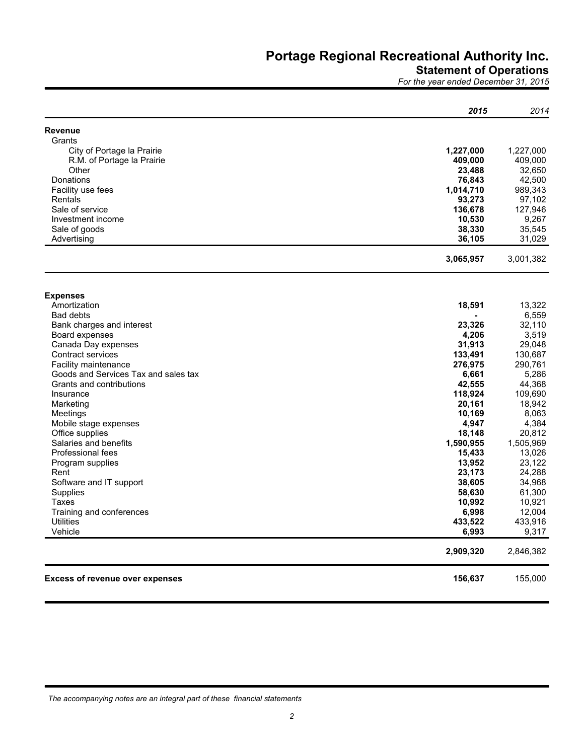### **Statement of Operations**

*For the year ended December 31, 2015*

|                                              | 2015             | 2014              |
|----------------------------------------------|------------------|-------------------|
| <b>Revenue</b>                               |                  |                   |
| Grants                                       |                  |                   |
| City of Portage la Prairie                   | 1,227,000        | 1,227,000         |
| R.M. of Portage la Prairie                   | 409,000          | 409,000           |
| Other                                        | 23,488           | 32,650            |
| Donations                                    | 76,843           | 42,500            |
| Facility use fees                            | 1,014,710        | 989,343           |
| Rentals                                      | 93,273           | 97,102            |
| Sale of service                              | 136,678          | 127,946           |
| Investment income                            | 10,530           | 9,267             |
| Sale of goods                                | 38,330           | 35,545            |
| Advertising                                  | 36,105           | 31,029            |
|                                              | 3,065,957        | 3,001,382         |
|                                              |                  |                   |
| <b>Expenses</b><br>Amortization              | 18,591           | 13,322            |
| <b>Bad debts</b>                             |                  | 6,559             |
| Bank charges and interest                    | 23,326           | 32.110            |
| Board expenses                               | 4,206            | 3,519             |
| Canada Day expenses                          | 31,913           | 29.048            |
| <b>Contract services</b>                     | 133,491          | 130,687           |
| Facility maintenance                         | 276,975          | 290,761           |
| Goods and Services Tax and sales tax         | 6,661            | 5,286             |
| Grants and contributions                     | 42,555           | 44,368            |
| Insurance                                    | 118,924          | 109,690           |
| Marketing                                    | 20,161           | 18,942            |
| Meetings                                     | 10,169           | 8,063             |
| Mobile stage expenses                        | 4,947            | 4,384             |
| Office supplies                              | 18,148           | 20,812            |
| Salaries and benefits                        | 1,590,955        | 1,505,969         |
| Professional fees                            |                  |                   |
|                                              | 15,433<br>13,952 | 13,026<br>23,122  |
| Program supplies<br>Rent                     | 23,173           | 24,288            |
| Software and IT support                      | 38,605           | 34,968            |
|                                              |                  | 61,300            |
| Supplies<br>Taxes                            | 58,630<br>10,992 | 10,921            |
|                                              |                  |                   |
| Training and conferences<br><b>Utilities</b> | 6,998<br>433,522 | 12,004<br>433,916 |
| Vehicle                                      | 6,993            | 9,317             |
|                                              |                  |                   |
|                                              | 2,909,320        | 2,846,382         |
| <b>Excess of revenue over expenses</b>       | 156,637          | 155,000           |

*The accompanying notes are an integral part of these financial statements*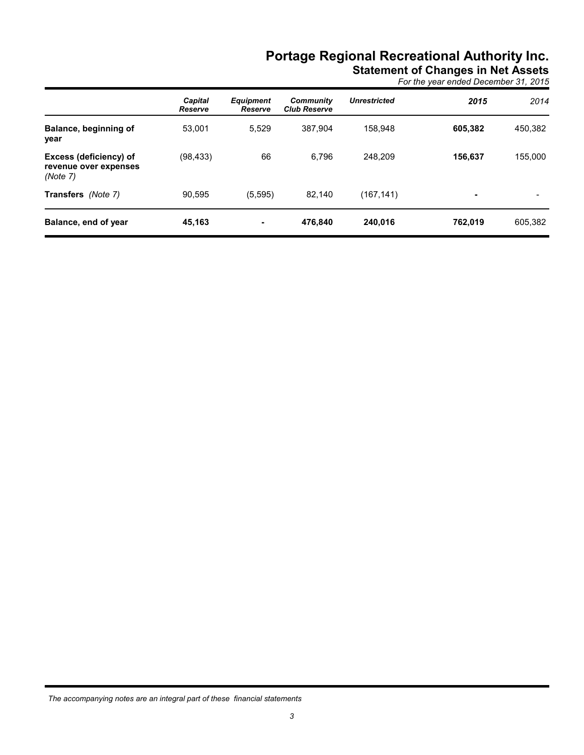**Statement of Changes in Net Assets**

| For the year ended December 31, 2015 |  |  |
|--------------------------------------|--|--|
|                                      |  |  |

|                                                             | Capital<br>Reserve | <b>Equipment</b><br>Reserve | Community<br><b>Club Reserve</b> | <b>Unrestricted</b> | 2015    | 2014    |
|-------------------------------------------------------------|--------------------|-----------------------------|----------------------------------|---------------------|---------|---------|
| Balance, beginning of<br>year                               | 53.001             | 5,529                       | 387.904                          | 158.948             | 605,382 | 450,382 |
| Excess (deficiency) of<br>revenue over expenses<br>(Note 7) | (98, 433)          | 66                          | 6,796                            | 248.209             | 156,637 | 155,000 |
| Transfers (Note 7)                                          | 90.595             | (5, 595)                    | 82,140                           | (167, 141)          |         |         |
| Balance, end of year                                        | 45,163             | ۰                           | 476,840                          | 240,016             | 762,019 | 605,382 |

*The accompanying notes are an integral part of these financial statements*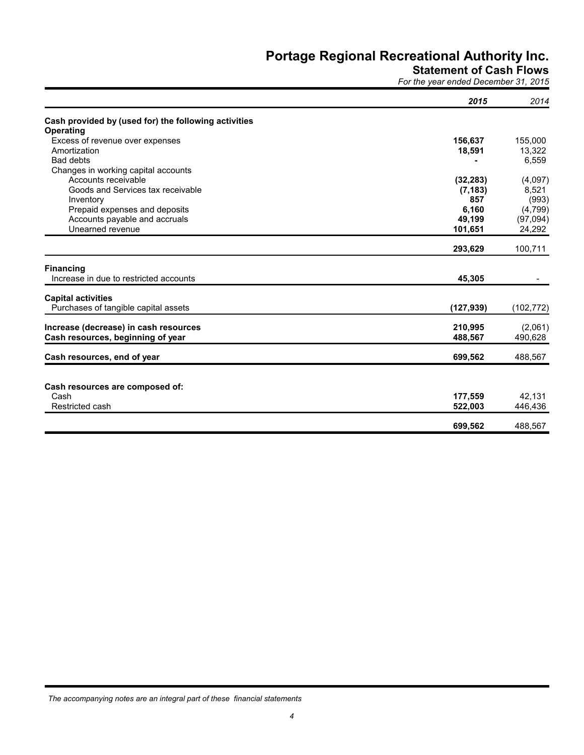## **Statement of Cash Flows**

*For the year ended December 31, 2015*

|                                                      | 2015       | 2014       |
|------------------------------------------------------|------------|------------|
| Cash provided by (used for) the following activities |            |            |
| <b>Operating</b>                                     |            |            |
| Excess of revenue over expenses                      | 156.637    | 155,000    |
| Amortization                                         | 18,591     | 13,322     |
| <b>Bad debts</b>                                     |            | 6,559      |
| Changes in working capital accounts                  |            |            |
| Accounts receivable                                  | (32, 283)  | (4,097)    |
| Goods and Services tax receivable                    | (7, 183)   | 8,521      |
| Inventory                                            | 857        | (993)      |
| Prepaid expenses and deposits                        | 6.160      | (4,799)    |
| Accounts payable and accruals                        | 49,199     | (97,094)   |
| Unearned revenue                                     | 101,651    | 24,292     |
|                                                      | 293,629    | 100,711    |
| <b>Financing</b>                                     |            |            |
| Increase in due to restricted accounts               | 45,305     |            |
| <b>Capital activities</b>                            |            |            |
| Purchases of tangible capital assets                 | (127, 939) | (102, 772) |
|                                                      |            |            |
| Increase (decrease) in cash resources                | 210,995    | (2,061)    |
| Cash resources, beginning of year                    | 488,567    | 490,628    |
| Cash resources, end of year                          | 699,562    | 488,567    |
| Cash resources are composed of:                      |            |            |
| Cash                                                 | 177,559    | 42.131     |
| Restricted cash                                      | 522,003    | 446,436    |
|                                                      |            |            |
|                                                      | 699,562    | 488,567    |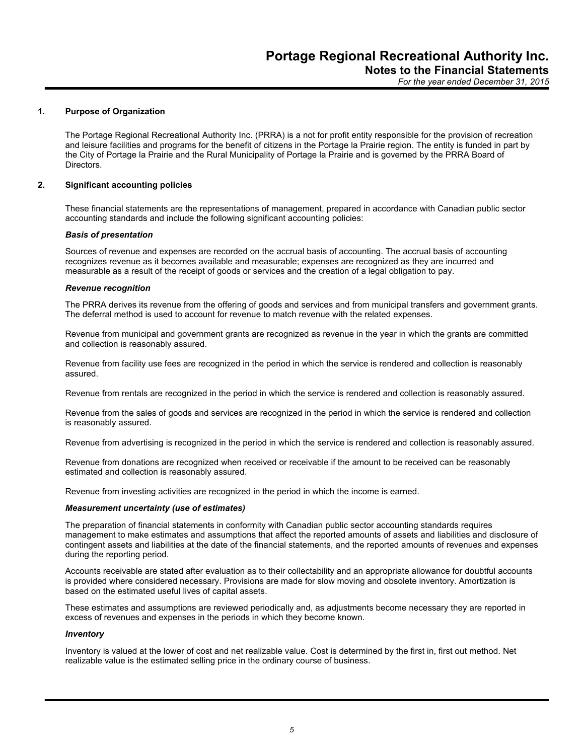#### **1. Purpose of Organization**

The Portage Regional Recreational Authority Inc. (PRRA) is a not for profit entity responsible for the provision of recreation and leisure facilities and programs for the benefit of citizens in the Portage la Prairie region. The entity is funded in part by the City of Portage la Prairie and the Rural Municipality of Portage la Prairie and is governed by the PRRA Board of Directors.

#### **2. Significant accounting policies**

These financial statements are the representations of management, prepared in accordance with Canadian public sector accounting standards and include the following significant accounting policies:

#### *Basis of presentation*

Sources of revenue and expenses are recorded on the accrual basis of accounting. The accrual basis of accounting recognizes revenue as it becomes available and measurable; expenses are recognized as they are incurred and measurable as a result of the receipt of goods or services and the creation of a legal obligation to pay.

#### *Revenue recognition*

The PRRA derives its revenue from the offering of goods and services and from municipal transfers and government grants. The deferral method is used to account for revenue to match revenue with the related expenses.

Revenue from municipal and government grants are recognized as revenue in the year in which the grants are committed and collection is reasonably assured.

Revenue from facility use fees are recognized in the period in which the service is rendered and collection is reasonably assured.

Revenue from rentals are recognized in the period in which the service is rendered and collection is reasonably assured.

Revenue from the sales of goods and services are recognized in the period in which the service is rendered and collection is reasonably assured.

Revenue from advertising is recognized in the period in which the service is rendered and collection is reasonably assured.

Revenue from donations are recognized when received or receivable if the amount to be received can be reasonably estimated and collection is reasonably assured.

Revenue from investing activities are recognized in the period in which the income is earned.

#### *Measurement uncertainty (use of estimates)*

The preparation of financial statements in conformity with Canadian public sector accounting standards requires management to make estimates and assumptions that affect the reported amounts of assets and liabilities and disclosure of contingent assets and liabilities at the date of the financial statements, and the reported amounts of revenues and expenses during the reporting period.

Accounts receivable are stated after evaluation as to their collectability and an appropriate allowance for doubtful accounts is provided where considered necessary. Provisions are made for slow moving and obsolete inventory. Amortization is based on the estimated useful lives of capital assets.

These estimates and assumptions are reviewed periodically and, as adjustments become necessary they are reported in excess of revenues and expenses in the periods in which they become known.

#### *Inventory*

Inventory is valued at the lower of cost and net realizable value. Cost is determined by the first in, first out method. Net realizable value is the estimated selling price in the ordinary course of business.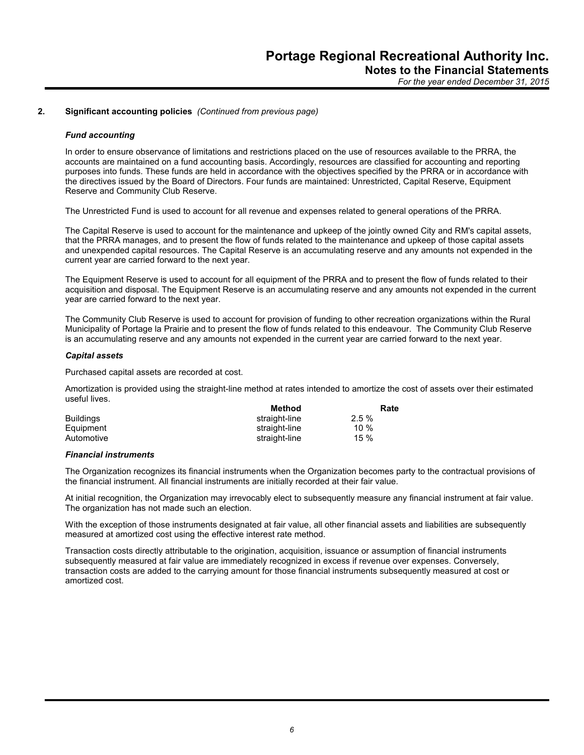#### **2. Significant accounting policies** *(Continued from previous page)*

#### *Fund accounting*

In order to ensure observance of limitations and restrictions placed on the use of resources available to the PRRA, the accounts are maintained on a fund accounting basis. Accordingly, resources are classified for accounting and reporting purposes into funds. These funds are held in accordance with the objectives specified by the PRRA or in accordance with the directives issued by the Board of Directors. Four funds are maintained: Unrestricted, Capital Reserve, Equipment Reserve and Community Club Reserve.

The Unrestricted Fund is used to account for all revenue and expenses related to general operations of the PRRA.

The Capital Reserve is used to account for the maintenance and upkeep of the jointly owned City and RM's capital assets, that the PRRA manages, and to present the flow of funds related to the maintenance and upkeep of those capital assets and unexpended capital resources. The Capital Reserve is an accumulating reserve and any amounts not expended in the current year are carried forward to the next year.

The Equipment Reserve is used to account for all equipment of the PRRA and to present the flow of funds related to their acquisition and disposal. The Equipment Reserve is an accumulating reserve and any amounts not expended in the current year are carried forward to the next year.

The Community Club Reserve is used to account for provision of funding to other recreation organizations within the Rural Municipality of Portage la Prairie and to present the flow of funds related to this endeavour. The Community Club Reserve is an accumulating reserve and any amounts not expended in the current year are carried forward to the next year.

#### *Capital assets*

Purchased capital assets are recorded at cost.

Amortization is provided using the straight-line method at rates intended to amortize the cost of assets over their estimated useful lives.

| Method        | Rate    |
|---------------|---------|
| straight-line | $2.5\%$ |
| straight-line | 10 $%$  |
| straight-line | 15%     |
|               |         |

#### *Financial instruments*

The Organization recognizes its financial instruments when the Organization becomes party to the contractual provisions of the financial instrument. All financial instruments are initially recorded at their fair value.

At initial recognition, the Organization may irrevocably elect to subsequently measure any financial instrument at fair value. The organization has not made such an election.

With the exception of those instruments designated at fair value, all other financial assets and liabilities are subsequently measured at amortized cost using the effective interest rate method.

Transaction costs directly attributable to the origination, acquisition, issuance or assumption of financial instruments subsequently measured at fair value are immediately recognized in excess if revenue over expenses. Conversely, transaction costs are added to the carrying amount for those financial instruments subsequently measured at cost or amortized cost.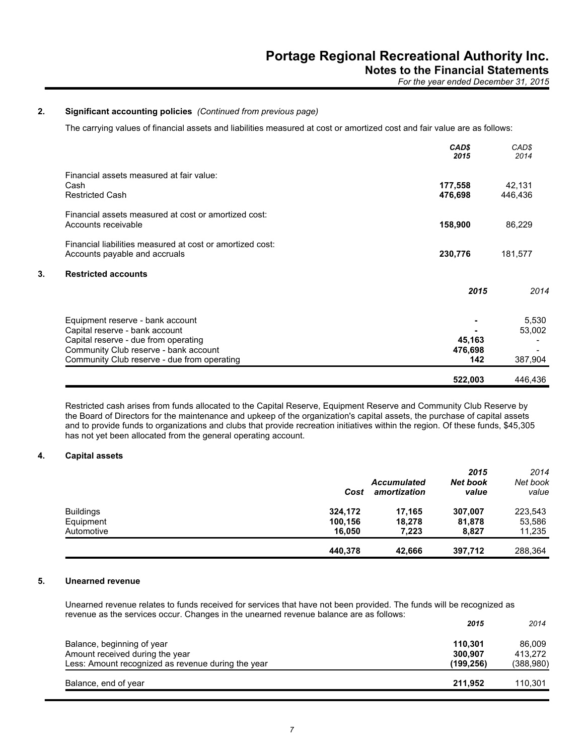*For the year ended December 31, 2015*

#### **2. Significant accounting policies** *(Continued from previous page)*

The carrying values of financial assets and liabilities measured at cost or amortized cost and fair value are as follows:

|                                                                                            | <b>CAD\$</b><br>2015 | CAD\$<br>2014 |
|--------------------------------------------------------------------------------------------|----------------------|---------------|
| Financial assets measured at fair value:                                                   |                      |               |
| Cash                                                                                       | 177,558              | 42,131        |
| <b>Restricted Cash</b>                                                                     | 476,698              | 446,436       |
| Financial assets measured at cost or amortized cost:                                       |                      |               |
| Accounts receivable                                                                        | 158,900              | 86,229        |
| Financial liabilities measured at cost or amortized cost:<br>Accounts payable and accruals | 230,776              | 181,577       |
| <b>Restricted accounts</b>                                                                 |                      |               |
|                                                                                            | 2015                 | 2014          |
| Equipment reserve - bank account                                                           |                      | 5,530         |
| Capital reserve - bank account                                                             |                      | 53,002        |
| Capital reserve - due from operating                                                       | 45,163               |               |
| Community Club reserve - bank account                                                      | 476,698              |               |
| Community Club reserve - due from operating                                                | 142                  | 387,904       |
|                                                                                            | 522,003              | 446,436       |

Restricted cash arises from funds allocated to the Capital Reserve, Equipment Reserve and Community Club Reserve by the Board of Directors for the maintenance and upkeep of the organization's capital assets, the purchase of capital assets and to provide funds to organizations and clubs that provide recreation initiatives within the region. Of these funds, \$45,305 has not yet been allocated from the general operating account.

#### **4. Capital assets**

|                  | Cost    | <b>Accumulated</b><br>amortization | 2015<br><b>Net book</b><br>value | 2014<br>Net book<br>value |
|------------------|---------|------------------------------------|----------------------------------|---------------------------|
| <b>Buildings</b> | 324.172 | 17.165                             | 307.007                          | 223,543                   |
| Equipment        | 100.156 | 18.278                             | 81,878                           | 53,586                    |
| Automotive       | 16.050  | 7,223                              | 8,827                            | 11,235                    |
|                  | 440.378 | 42.666                             | 397,712                          | 288,364                   |

#### **5. Unearned revenue**

Unearned revenue relates to funds received for services that have not been provided. The funds will be recognized as revenue as the services occur. Changes in the unearned revenue balance are as follows: *2015 2014*

|                                                                                                                     | ---                             | 201T                           |
|---------------------------------------------------------------------------------------------------------------------|---------------------------------|--------------------------------|
| Balance, beginning of year<br>Amount received during the year<br>Less: Amount recognized as revenue during the year | 110.301<br>300.907<br>(199.256) | 86.009<br>413.272<br>(388,980) |
| Balance, end of year                                                                                                | 211.952                         | 110.301                        |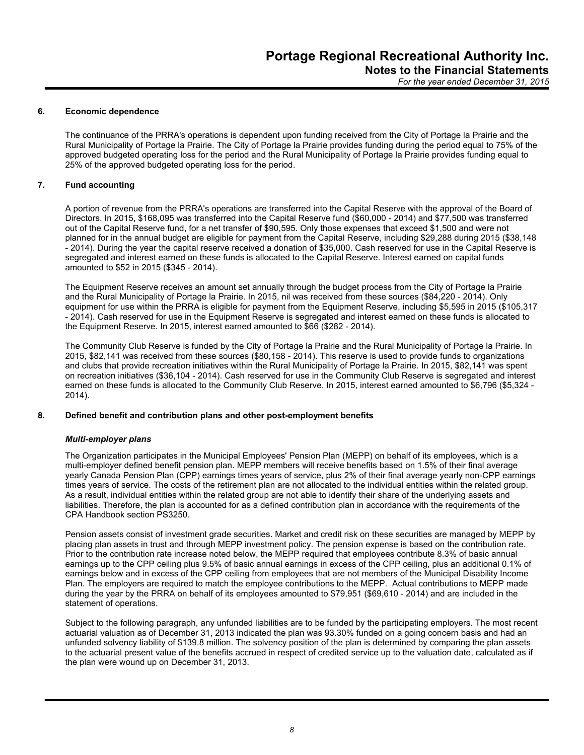#### **6. Economic dependence**

The continuance of the PRRA's operations is dependent upon funding received from the City of Portage la Prairie and the Rural Municipality of Portage la Prairie. The City of Portage la Prairie provides funding during the period equal to 75% of the approved budgeted operating loss for the period and the Rural Municipality of Portage la Prairie provides funding equal to 25% of the approved budgeted operating loss for the period.

#### **7. Fund accounting**

A portion of revenue from the PRRA's operations are transferred into the Capital Reserve with the approval of the Board of Directors. In 2015, \$168,095 was transferred into the Capital Reserve fund (\$60,000 - 2014) and \$77,500 was transferred out of the Capital Reserve fund, for a net transfer of \$90,595. Only those expenses that exceed \$1,500 and were not planned for in the annual budget are eligible for payment from the Capital Reserve, including \$29,288 during 2015 (\$38,148 - 2014). During the year the capital reserve received a donation of \$35,000. Cash reserved for use in the Capital Reserve is segregated and interest earned on these funds is allocated to the Capital Reserve. Interest earned on capital funds amounted to \$52 in 2015 (\$345 - 2014).

The Equipment Reserve receives an amount set annually through the budget process from the City of Portage la Prairie and the Rural Municipality of Portage la Prairie. In 2015, nil was received from these sources (\$84,220 - 2014). Only equipment for use within the PRRA is eligible for payment from the Equipment Reserve, including \$5,595 in 2015 (\$105,317 - 2014). Cash reserved for use in the Equipment Reserve is segregated and interest earned on these funds is allocated to the Equipment Reserve. In 2015, interest earned amounted to \$66 (\$282 - 2014).

The Community Club Reserve is funded by the City of Portage la Prairie and the Rural Municipality of Portage la Prairie. In 2015, \$82,141 was received from these sources (\$80,158 - 2014). This reserve is used to provide funds to organizations and clubs that provide recreation initiatives within the Rural Municipality of Portage la Prairie. In 2015, \$82,141 was spent on recreation initiatives (\$36,104 - 2014). Cash reserved for use in the Community Club Reserve is segregated and interest earned on these funds is allocated to the Community Club Reserve. In 2015, interest earned amounted to \$6,796 (\$5,324 - 2014).

#### **8. Defined benefit and contribution plans and other post-employment benefits**

#### *Multi-employer plans*

The Organization participates in the Municipal Employees' Pension Plan (MEPP) on behalf of its employees, which is a multi-employer defined benefit pension plan. MEPP members will receive benefits based on 1.5% of their final average yearly Canada Pension Plan (CPP) earnings times years of service, plus 2% of their final average yearly non-CPP earnings times years of service. The costs of the retirement plan are not allocated to the individual entities within the related group. As a result, individual entities within the related group are not able to identify their share of the underlying assets and liabilities. Therefore, the plan is accounted for as a defined contribution plan in accordance with the requirements of the CPA Handbook section PS3250.

Pension assets consist of investment grade securities. Market and credit risk on these securities are managed by MEPP by placing plan assets in trust and through MEPP investment policy. The pension expense is based on the contribution rate. Prior to the contribution rate increase noted below, the MEPP required that employees contribute 8.3% of basic annual earnings up to the CPP ceiling plus 9.5% of basic annual earnings in excess of the CPP ceiling, plus an additional 0.1% of earnings below and in excess of the CPP ceiling from employees that are not members of the Municipal Disability Income Plan. The employers are required to match the employee contributions to the MEPP. Actual contributions to MEPP made during the year by the PRRA on behalf of its employees amounted to \$79,951 (\$69,610 - 2014) and are included in the statement of operations.

Subject to the following paragraph, any unfunded liabilities are to be funded by the participating employers. The most recent actuarial valuation as of December 31, 2013 indicated the plan was 93.30% funded on a going concern basis and had an unfunded solvency liability of \$139.8 million. The solvency position of the plan is determined by comparing the plan assets to the actuarial present value of the benefits accrued in respect of credited service up to the valuation date, calculated as if the plan were wound up on December 31, 2013.